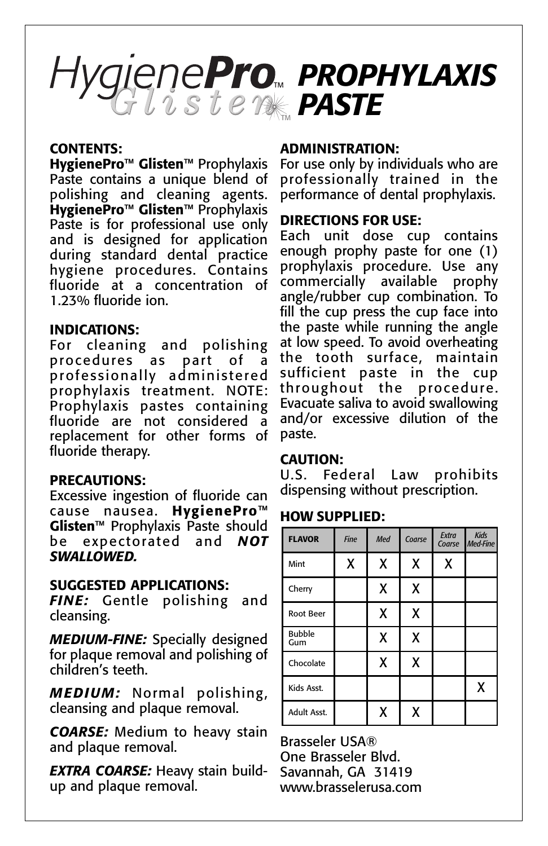## *PROPHYLAXIS PASTE*

#### **CONTENTS:**

**HygienePro™ Glisten™** Prophylaxis Paste contains a unique blend of polishing and cleaning agents. **HygienePro™ Glisten™** Prophylaxis Paste is for professional use only and is designed for application during standard dental practice hygiene procedures. Contains fluoride at a concentration of 1.23% fluoride ion.

#### **INDICATIONS:**

For cleaning and polishing procedures as part of a professionally administered prophylaxis treatment. NOTE: Prophylaxis pastes containing fluoride are not considered a replacement for other forms of fluoride therapy.

## **PRECAUTIONS:**

Excessive ingestion of fluoride can cause nausea. **HygienePro™ Glisten™** Prophylaxis Paste should be expectorated and *NOT SWALLOWED.*

#### **SUGGESTED APPLICATIONS:**

*FINE:* Gentle polishing and cleansing.

*MEDIUM-FINE:* Specially designed for plaque removal and polishing of children's teeth.

*MEDIUM:* Normal polishing, cleansing and plaque removal.

*COARSE:* Medium to heavy stain and plaque removal.

*EXTRA COARSE:* Heavy stain buildup and plaque removal.

#### **ADMINISTRATION:**

For use only by individuals who are professionally trained in the performance of dental prophylaxis.

#### **DIRECTIONS FOR USE:**

Each unit dose cup contains enough prophy paste for one (1) prophylaxis procedure. Use any commercially available prophy angle/rubber cup combination. To fill the cup press the cup face into the paste while running the angle at low speed. To avoid overheating the tooth surface, maintain sufficient paste in the cup throughout the procedure. Evacuate saliva to avoid swallowing and/or excessive dilution of the paste.

#### **CAUTION:**

U.S. Federal Law prohibits dispensing without prescription.

## **HOW SUPPLIED:**

| <b>FLAVOR</b>        | <b>Fine</b> | Med | Coarse | Extra<br>Coarse | <b>Kids</b><br>Med-Fine |
|----------------------|-------------|-----|--------|-----------------|-------------------------|
| Mint                 | χ           | X   | χ      | X               |                         |
| Cherry               |             | X   | X      |                 |                         |
| Root Beer            |             | X   | X      |                 |                         |
| <b>Bubble</b><br>Gum |             | X   | χ      |                 |                         |
| Chocolate            |             | Χ   | X      |                 |                         |
| Kids Asst.           |             |     |        |                 | χ                       |
| Adult Asst.          |             | X   | X      |                 |                         |

Brasseler USA® One Brasseler Blvd. Savannah, GA 31419 www.brasselerusa.com